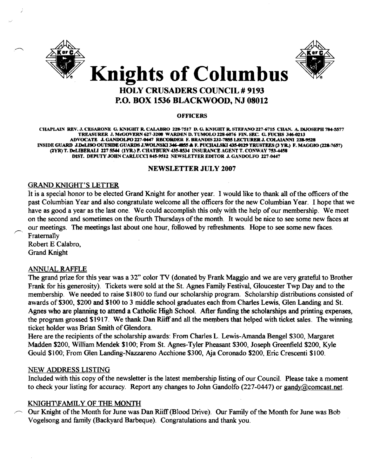



# **Knights of Columbus**

# HOLY CRUSADERS COUNCIL # 9193 P.O. BOX 1536 BLACKWOOD, NJ 08012

#### **OFFICERS**

CHAPLAIN REV. J. CESARONE G. KNIGHT R. CALABRO 228-7517 D. G. KNIGHT R. STEFANO 227-6715 CHAN. A. DIJOSEPH 784-5577 TREASURER J. McGOVERN 627-3208 WARDEN D. TUMOLO 228-6076 FIN. SEC. G. FUCHS 346-0213 ADVOCATE J. GANDOLFO 227-0447 RECORDER F. BRANDIS 232-7855 LECTURER J. COLAIANNI 228-9528 INSIDE GUARD J.DeLISO OUTSIDE GUARDS J.WOLNSKI 346-4855 & F. PUCHALSKI 435-0129 TRUSTEES (3 YR.) F. MAGGIO (228-7657) (2YR) T. DeLIBERALI 227 5544 (IYR.) P. CHATBURN 435-8534 INSURANCE AGENT T. CONWAY 753-4458 DIST. DEPUTY JOHN CARLUCCI 845-9512 NEWSLETTER EDITOR J. GANDOLFO 227-0447

#### NEWSLETTER JULy 2007

# GRAND KNIGHT'S LETTER

It is a special honor to be elected Grand Knight for another year. I would like to thank all of the officers of the past Columbian Year and also congratulate welcome all the officers for the new Columbian Year. I hope that we have as good a year as the last one. We could accomplish this only with the help of our membership. We meet on the second and sometimes on the fourth Thursdays of the month. It would be nice to see some new faces at our meetings. The meetings last about one hour, followed by refreshments. Hope to see some new faces. Fraternally

Robert E Calabro, Grand Knight

# ANNUAL RAFFLE

The grand prize for this year was a 32" color TV (donated by Frank Maggio and we are very grateful to Brother Frank for his generosity). Tickets were sold at the St. Agnes Family Festival, Gloucester Twp Day and to the membership. We needed to raise \$1800 to fund our scholarship program. Scholarship distributions consisted of awards of \$300, \$200 and \$100 to 3 middle school graduates each from Charles Lewis, Glen Landing and St. Agnes who are planning to attend a Catholic High School. After funding the scholarships and printing expenses, the program grossed \$1917. We thank Dan Riiff and all the members that helped with ticket sales. The winning ticket holder was Brian Smith of Glendora.

Here are the recipients of the scholarship awards: From Charles L. Lewis-Amanda Bengel \$300, Margaret Madden \$200, William Mendek \$100; From St. Agnes-Tyler Pheasant \$300, Joseph Greenfield \$200, Kyle Gould \$100; From Glen Landing-Nazzareno Acchione \$300, Aja Coronado \$200, Eric Crescenti \$100.

# NEW ADDRESS LISTING

Included with this copy of the newsletter is the latest membership listing of our Council. Please take a moment to check your listing for accuracy. Report any changes to John Gandolfo (227-0447) or gandy@comcast.net.

# KNIGHT\FAMIL Y OF THE MONTH

Our Knight of the Month for June was Dan Riiff (Blood Drive). Our Family of the Month for June was Bob Vogelsong and family (Backyard Barbeque). Congratulations and thank you.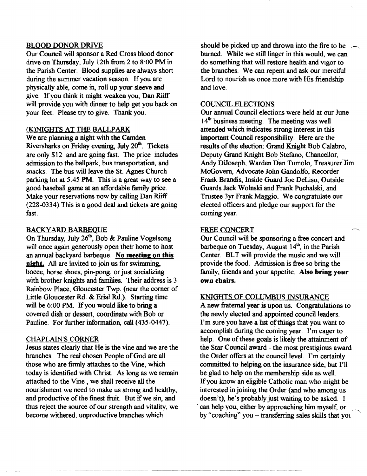#### BLOOD DONOR DRIVE

Our Council will sponsor a Red Cross blood donor drive on Thursday, July 12th from 2 to 8:00 PM in the Parish Center. Blood supplies are always short during the summer vacation season. If you are physically able, come in, roll up your sleeve and give. If you think it might weaken you, Dan Riiff will provide you with dinner to help get you back on your feet. Please try to give. Thank you.

#### (K)NIGHTS AT THE BALLPARK

We are planning a night with the Camden Riversharks on Friday evening, July 20<sup>th</sup>. Tickets are only \$12 and are going fast. The price includes admission to the ballpark, bus transportation, and snacks. The bus will leave the St. Agnes Church parking lot at 5:45 PM. This is a great way to see a good baseball game at an affordable family price. Make your reservations now by calling Dan Riiff (228-0334). This is a good deal and tickets are going fast.

### **BACKYARD BARBEQUE**

On Thursday, July  $26^{\text{th}}$ , Bob & Pauline Vogelsong will once again generously open their home to host an annual backyard barbeque. No meeting on this night. All are invited to join us for swimming, bocce, horse shoes, pin-pong, or just socializing with brother knights and families. Their address is 3 Rainbow Place, Gloucester Twp. (near the comer of Little Gloucester Rd. & Erial Rd.). Starting time will be  $6:00$  PM. If you would like to bring a covered dish or dessert, coordinate with Bob or Pauline. For further information, call (435-0447).

#### CHAPLAIN'S CORNER

Jesus states clearly that He is the vine and we are the branches. The real chosen People of God are all those who are firmly attaches to the Vine, which today is identified with Christ. As long as we remain attached to the Vine, we shall receive all the nourishment we need to make us strong and healthy, and productive of the finest fruit. But if we sin, and thus reject the source of our strength and vitality, we become withered, unproductive branches which

should be picked up and thrown into the fire to be burned. While we still linger in this would, we can do something that wilt restore health and vigor to the branches. We can repent and ask our merciful Lord to nourish us once more with His friendship and love.

#### COUNCIL ELECTIONS

Our annual Council elections were held at our June 14<sup>th</sup> business meeting. The meeting was well attended which indicates strong interest in this important Council responsibility. Here are the results of the election: Grand Knight Bob Calabro, Deputy Grand Knight Bob Stefano, Chancellor, Andy DiJoseph, Warden Dan Tumolo, Treasurer Jim McGovern, Advocate John Gandolfo, Recorder Frank Brandis, Inside Guard Joe DeLiso, Outside Guards Jack Wolnski and Frank Puchalski, and Trustee 3yr Frank Maggio. We congratulate our elected officers and pledge our support for the coming year.

#### FREE CONCERT

Our Council will be sponsoring a free concert and barbeque on Tuesday, August  $14<sup>th</sup>$ , in the Parish Center. BLT will provide the music and we will provide the food. Admission is free so bring the family, friends and your appetite. Also bring your own chairs.

#### KNIGHTS OF COLUMBUS INSURANCE

A new fraternal year is upon us. Congratulations to the newly elected and appointed council leaders. I'm sure you have a list of things that you want to accomplish during the coming year. I'm eager to help. One of these goals is likely the attainment of the Star Council award - the most prestigious award the Order offers at the council level. I'm certainly committed to helping on the insurance side, but I'll be glad to help on the membership side as well. Ifyou know an eligible Catholic man who might be interested in joining the Order (and who among us doesn't), he's probably just waiting to be asked. I can help you, either by approaching him myself, or by "coaching" you  $-$  transferring sales skills that you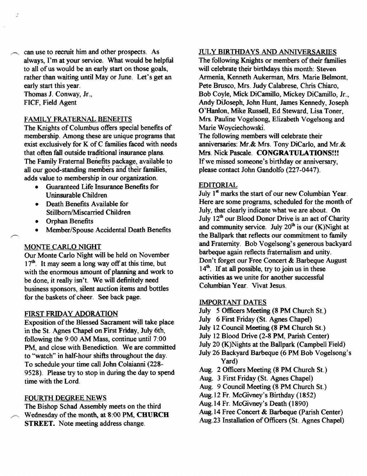$\sim$  can use to recruit him and other prospects. As always, I'm at your service. What would be helpful to all of us would be an early start on those goals, rather than waiting until Mayor June. Let's get an early start this year.

Thomas 1. Conway, Jr., FICF, Field Agent

#### FAMILY FRATERNAL BENEFITS

The Knights of Columbus offers special benefits of membership. Among these are unique programs that exist exclusively for K of C families faced with needs that often fall outside traditional insurance plans. The Family Fraternal Benefits package, available to all our good-standing members and their families. adds value to membership in our organization.

- Guaranteed Life Insurance Benefits for Uninsurable Children
- Death Benefits Available for Stillborn/Miscarried Children
- Orphan Benefits
- Member/Spouse Accidental Death Benefits

# MONTE CARLO NIGHT

Our Monte Carlo Night will be held on November  $17<sup>th</sup>$ . It may seem a long way off at this time, but with the enormous amount of planning and work to be done, it really isn't. We will definitely need business sponsors, silent auction items and bottles for the baskets of cheer. See back page.

# FIRST FRIDAY ADORATION

Exposition of the Blessed Sacrament will take place in the St. Agnes Chapel on First Friday, July 6th, following the 9:00 AM Mass, continue until 7:00 PM, and close with Benediction. We are committed to "watch" in half-hour shifts throughout the day. To schedule your time call John Colaianni (228 9528). Please try to stop in during the day to spend time with the Lord.

# FOURTH DEGREE NEWS

The Bishop Schad Assembly meets on the third Wednesday of the month, at 8:00 PM, CHURCH STREET. Note meeting address change.

# JULY BIRTHDAYS AND ANNIVERSARIES

The following Knights or members of their families will celebrate their birthdays this month: Steven Armenia, Kenneth Aukerman, Mrs. Marie Belmont, Pete Brusco, Mrs. Judy Calabrese, Chris Chiaro, Bob Coyle, Mick DiCamillo, Mickey DiCamillo, Jr., Andy DiJoseph, John Hunt, James Kennedy, Joseph O'Hanlon, Mike Russell, Ed Steward, Lisa Toner, Mrs. Pauline Vogelsong, Elizabeth Vogelsong and Marie Woyciechowski.

The following members will celebrate their anniversaries: Mr.& Mrs. Tony DiCarlo, and Mr.& Mrs. Nick Pascale. CONGRATULATIONS!!! If we missed someone's birthday or anniversary, please contact John Gandolfo (227-0447).

# EDITORIAL

July  $1<sup>st</sup>$  marks the start of our new Columbian Year. Here are some programs, scheduled for the month of July, that clearly indicate what we are about. On July 12<sup>th</sup> our Blood Donor Drive is an act of Charity and community service. July  $20<sup>th</sup>$  is our (K)Night at the Ballpark that reflects our commitment to family and Fraternity. Bob Vogelsong's generous backyard barbeque again reflects fraternalism and unity. Don't forget our Free Concert & Barbeque August  $14<sup>th</sup>$ . If at all possible, try to join us in these activities as we unite for another successful Columbian Year. Vivat Jesus.

#### IMPORTANT DATES

- July 5 Officers Meeting (8 PM Church St.)
- July 6 First Friday (St. Agnes Chapel)
- July 12 Council Meeting (8 PM Church St.)
- July 12 Blood Drive (2-8 PM, Parish Center)
- July 20 (K)Nights at the Ballpark (Campbell Field)
- July 26 Backyard Barbeque (6 PM Bob Vogelsong's Yard)
- Aug. 2 Officers Meeting (8 PM Church St.)
- Aug. 3 First Friday (St. Agnes Chapel)
- Aug. 9 Council Meeting (8 PM Church St.)
- Aug. 12 Fr. McGivney's Birthday (1852)
- Aug. 14 Fr. McGivney's Death (1890)
- Aug. 14 Free Concert & Barbeque (Parish Center)
- Aug.23 Installation of Officers (St. Agnes Chapel)